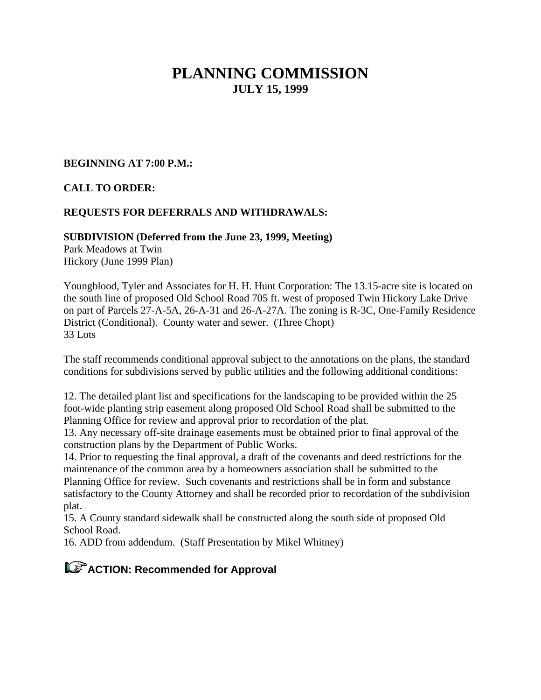# **PLANNING COMMISSION JULY 15, 1999**

#### **BEGINNING AT 7:00 P.M.:**

### **CALL TO ORDER:**

### **REQUESTS FOR DEFERRALS AND WITHDRAWALS:**

#### **SUBDIVISION (Deferred from the June 23, 1999, Meeting)**

Park Meadows at Twin Hickory (June 1999 Plan)

Youngblood, Tyler and Associates for H. H. Hunt Corporation: The 13.15-acre site is located on the south line of proposed Old School Road 705 ft. west of proposed Twin Hickory Lake Drive on part of Parcels 27-A-5A, 26-A-31 and 26-A-27A. The zoning is R-3C, One-Family Residence District (Conditional). County water and sewer. (Three Chopt) 33 Lots

The staff recommends conditional approval subject to the annotations on the plans, the standard conditions for subdivisions served by public utilities and the following additional conditions:

12. The detailed plant list and specifications for the landscaping to be provided within the 25 foot-wide planting strip easement along proposed Old School Road shall be submitted to the Planning Office for review and approval prior to recordation of the plat.

13. Any necessary off-site drainage easements must be obtained prior to final approval of the construction plans by the Department of Public Works.

14. Prior to requesting the final approval, a draft of the covenants and deed restrictions for the maintenance of the common area by a homeowners association shall be submitted to the Planning Office for review. Such covenants and restrictions shall be in form and substance satisfactory to the County Attorney and shall be recorded prior to recordation of the subdivision plat.

15. A County standard sidewalk shall be constructed along the south side of proposed Old School Road.

16. ADD from addendum. (Staff Presentation by Mikel Whitney)

# **ACTION: Recommended for Approval**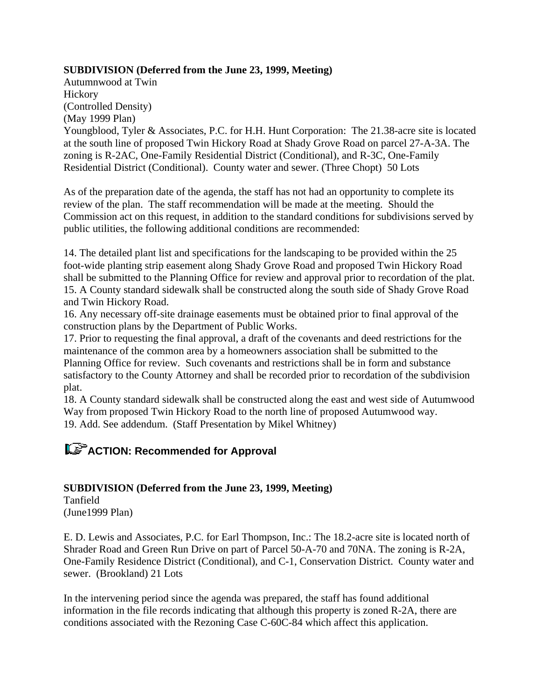### **SUBDIVISION (Deferred from the June 23, 1999, Meeting)**

Autumnwood at Twin **Hickory** (Controlled Density) (May 1999 Plan)

Youngblood, Tyler & Associates, P.C. for H.H. Hunt Corporation: The 21.38-acre site is located at the south line of proposed Twin Hickory Road at Shady Grove Road on parcel 27-A-3A. The zoning is R-2AC, One-Family Residential District (Conditional), and R-3C, One-Family Residential District (Conditional). County water and sewer. (Three Chopt) 50 Lots

As of the preparation date of the agenda, the staff has not had an opportunity to complete its review of the plan. The staff recommendation will be made at the meeting. Should the Commission act on this request, in addition to the standard conditions for subdivisions served by public utilities, the following additional conditions are recommended:

14. The detailed plant list and specifications for the landscaping to be provided within the 25 foot-wide planting strip easement along Shady Grove Road and proposed Twin Hickory Road shall be submitted to the Planning Office for review and approval prior to recordation of the plat. 15. A County standard sidewalk shall be constructed along the south side of Shady Grove Road and Twin Hickory Road.

16. Any necessary off-site drainage easements must be obtained prior to final approval of the construction plans by the Department of Public Works.

17. Prior to requesting the final approval, a draft of the covenants and deed restrictions for the maintenance of the common area by a homeowners association shall be submitted to the Planning Office for review. Such covenants and restrictions shall be in form and substance satisfactory to the County Attorney and shall be recorded prior to recordation of the subdivision plat.

18. A County standard sidewalk shall be constructed along the east and west side of Autumwood Way from proposed Twin Hickory Road to the north line of proposed Autumwood way. 19. Add. See addendum. (Staff Presentation by Mikel Whitney)

## **ACTION: Recommended for Approval**

## **SUBDIVISION (Deferred from the June 23, 1999, Meeting)**

Tanfield (June1999 Plan)

E. D. Lewis and Associates, P.C. for Earl Thompson, Inc.: The 18.2-acre site is located north of Shrader Road and Green Run Drive on part of Parcel 50-A-70 and 70NA. The zoning is R-2A, One-Family Residence District (Conditional), and C-1, Conservation District. County water and sewer. (Brookland) 21 Lots

In the intervening period since the agenda was prepared, the staff has found additional information in the file records indicating that although this property is zoned R-2A, there are conditions associated with the Rezoning Case C-60C-84 which affect this application.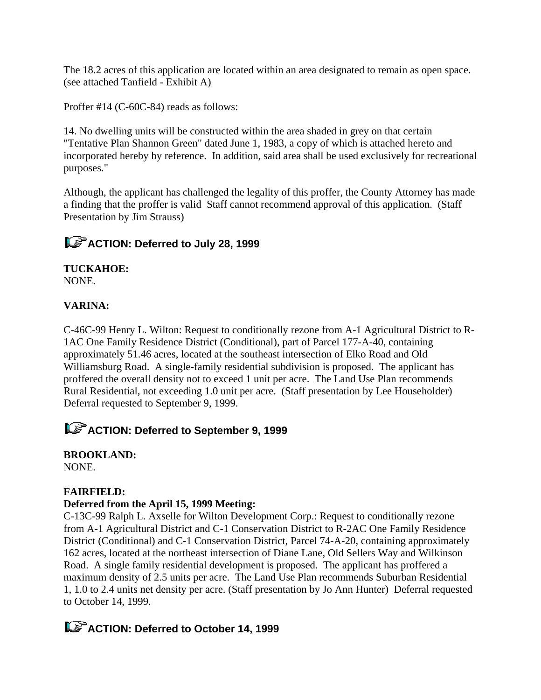The 18.2 acres of this application are located within an area designated to remain as open space. (see attached Tanfield - Exhibit A)

Proffer #14 (C-60C-84) reads as follows:

14. No dwelling units will be constructed within the area shaded in grey on that certain "Tentative Plan Shannon Green" dated June 1, 1983, a copy of which is attached hereto and incorporated hereby by reference. In addition, said area shall be used exclusively for recreational purposes."

Although, the applicant has challenged the legality of this proffer, the County Attorney has made a finding that the proffer is valid Staff cannot recommend approval of this application. (Staff Presentation by Jim Strauss)

## **ACTION: Deferred to July 28, 1999**

**TUCKAHOE:** NONE.

## **VARINA:**

C-46C-99 Henry L. Wilton: Request to conditionally rezone from A-1 Agricultural District to R-1AC One Family Residence District (Conditional), part of Parcel 177-A-40, containing approximately 51.46 acres, located at the southeast intersection of Elko Road and Old Williamsburg Road. A single-family residential subdivision is proposed. The applicant has proffered the overall density not to exceed 1 unit per acre. The Land Use Plan recommends Rural Residential, not exceeding 1.0 unit per acre. (Staff presentation by Lee Householder) Deferral requested to September 9, 1999.

## **ACTION: Deferred to September 9, 1999**

**BROOKLAND:** NONE.

### **FAIRFIELD:**

### **Deferred from the April 15, 1999 Meeting:**

C-13C-99 Ralph L. Axselle for Wilton Development Corp.: Request to conditionally rezone from A-1 Agricultural District and C-1 Conservation District to R-2AC One Family Residence District (Conditional) and C-1 Conservation District, Parcel 74-A-20, containing approximately 162 acres, located at the northeast intersection of Diane Lane, Old Sellers Way and Wilkinson Road. A single family residential development is proposed. The applicant has proffered a maximum density of 2.5 units per acre. The Land Use Plan recommends Suburban Residential 1, 1.0 to 2.4 units net density per acre. (Staff presentation by Jo Ann Hunter) Deferral requested to October 14, 1999.

## **ACTION: Deferred to October 14, 1999**